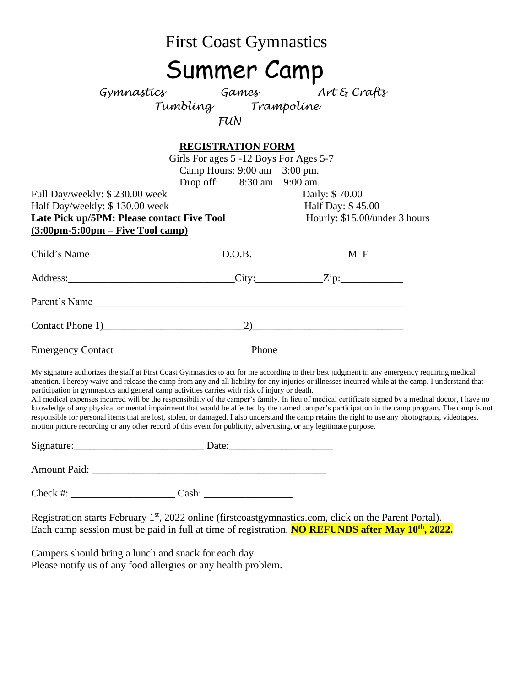|                                                                                                                                                                                                                                | <b>First Coast Gymnastics</b>                                                                                                                                             |                                                                                                                                                                                                                                                                                                                                                                                                                                                                                                                                                                                                                                                                                                                                                                         |
|--------------------------------------------------------------------------------------------------------------------------------------------------------------------------------------------------------------------------------|---------------------------------------------------------------------------------------------------------------------------------------------------------------------------|-------------------------------------------------------------------------------------------------------------------------------------------------------------------------------------------------------------------------------------------------------------------------------------------------------------------------------------------------------------------------------------------------------------------------------------------------------------------------------------------------------------------------------------------------------------------------------------------------------------------------------------------------------------------------------------------------------------------------------------------------------------------------|
|                                                                                                                                                                                                                                | <b>Summer Camp</b>                                                                                                                                                        |                                                                                                                                                                                                                                                                                                                                                                                                                                                                                                                                                                                                                                                                                                                                                                         |
|                                                                                                                                                                                                                                | Gymnastics Games Art & Crafts<br>Tumbling Trampoline<br>FUN<br>FUN                                                                                                        |                                                                                                                                                                                                                                                                                                                                                                                                                                                                                                                                                                                                                                                                                                                                                                         |
| Full Day/weekly: \$230.00 week<br>Half Day/weekly: \$130.00 week<br>Late Pick up/5PM: Please contact Five Tool<br>$(3:00 \text{pm}-5:00 \text{pm}-\text{Five Tool camp})$                                                      | <b>REGISTRATION FORM</b><br>Girls For ages 5 -12 Boys For Ages 5-7<br>Camp Hours: $9:00 \text{ am} - 3:00 \text{ pm}$ .<br>Drop off: $8:30 \text{ am} - 9:00 \text{ am}.$ | Daily: \$70.00<br>Half Day: \$45.00<br>Hourly: \$15.00/under 3 hours                                                                                                                                                                                                                                                                                                                                                                                                                                                                                                                                                                                                                                                                                                    |
| Child's Name MEChild's Name MEChild's Name MECHILD NO.B. MECHILD NO.B. MECHILD NO.B. MECHILD NO.B. MECHILD NO.B. MECHILD NO.B. MECHILD NO.B. MECHILD NO.B. MECHILD NO.B. MECHILD NO.B. MECHILD NO.B. MECHILD NO.B. MECHILD NO. |                                                                                                                                                                           |                                                                                                                                                                                                                                                                                                                                                                                                                                                                                                                                                                                                                                                                                                                                                                         |
|                                                                                                                                                                                                                                |                                                                                                                                                                           |                                                                                                                                                                                                                                                                                                                                                                                                                                                                                                                                                                                                                                                                                                                                                                         |
| Parent's Name                                                                                                                                                                                                                  |                                                                                                                                                                           |                                                                                                                                                                                                                                                                                                                                                                                                                                                                                                                                                                                                                                                                                                                                                                         |
|                                                                                                                                                                                                                                |                                                                                                                                                                           |                                                                                                                                                                                                                                                                                                                                                                                                                                                                                                                                                                                                                                                                                                                                                                         |
|                                                                                                                                                                                                                                |                                                                                                                                                                           |                                                                                                                                                                                                                                                                                                                                                                                                                                                                                                                                                                                                                                                                                                                                                                         |
| participation in gymnastics and general camp activities carries with risk of injury or death.<br>motion picture recording or any other record of this event for publicity, advertising, or any legitimate purpose.             |                                                                                                                                                                           | My signature authorizes the staff at First Coast Gymnastics to act for me according to their best judgment in any emergency requiring medical<br>attention. I hereby waive and release the camp from any and all liability for any injuries or illnesses incurred while at the camp. I understand that<br>All medical expenses incurred will be the responsibility of the camper's family. In lieu of medical certificate signed by a medical doctor, I have no<br>knowledge of any physical or mental impairment that would be affected by the named camper's participation in the camp program. The camp is not<br>responsible for personal items that are lost, stolen, or damaged. I also understand the camp retains the right to use any photographs, videotapes, |
|                                                                                                                                                                                                                                |                                                                                                                                                                           |                                                                                                                                                                                                                                                                                                                                                                                                                                                                                                                                                                                                                                                                                                                                                                         |
|                                                                                                                                                                                                                                |                                                                                                                                                                           |                                                                                                                                                                                                                                                                                                                                                                                                                                                                                                                                                                                                                                                                                                                                                                         |
|                                                                                                                                                                                                                                |                                                                                                                                                                           |                                                                                                                                                                                                                                                                                                                                                                                                                                                                                                                                                                                                                                                                                                                                                                         |
|                                                                                                                                                                                                                                |                                                                                                                                                                           | Registration starts February 1 <sup>st</sup> , 2022 online (firstcoastgymnastics.com, click on the Parent Portal).<br>Each camp session must be paid in full at time of registration. NO REFUNDS after May 10 <sup>th</sup> , 2022.                                                                                                                                                                                                                                                                                                                                                                                                                                                                                                                                     |

Campers should bring a lunch and snack for each day. Please notify us of any food allergies or any health problem.